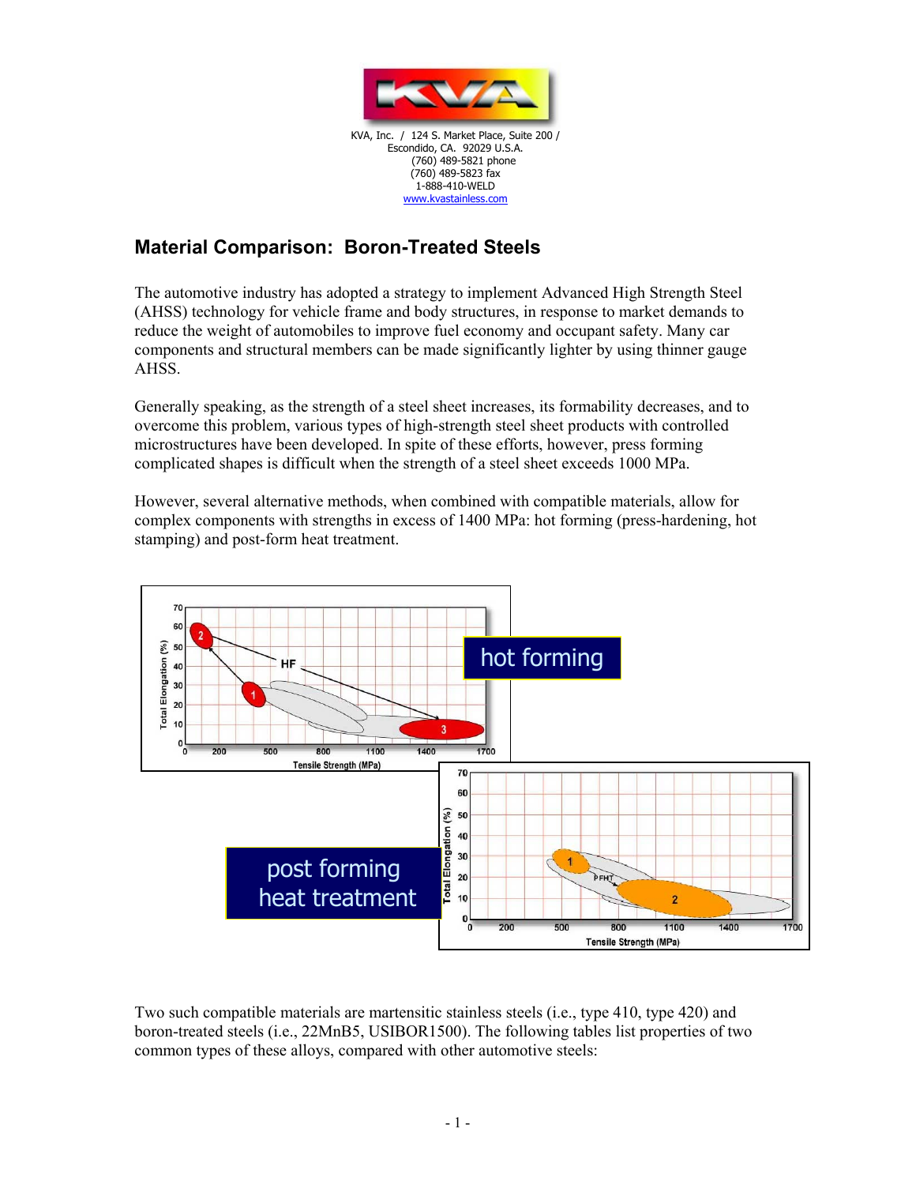

## **Material Comparison: Boron-Treated Steels**

The automotive industry has adopted a strategy to implement Advanced High Strength Steel (AHSS) technology for vehicle frame and body structures, in response to market demands to reduce the weight of automobiles to improve fuel economy and occupant safety. Many car components and structural members can be made significantly lighter by using thinner gauge AHSS.

Generally speaking, as the strength of a steel sheet increases, its formability decreases, and to overcome this problem, various types of high-strength steel sheet products with controlled microstructures have been developed. In spite of these efforts, however, press forming complicated shapes is difficult when the strength of a steel sheet exceeds 1000 MPa.

However, several alternative methods, when combined with compatible materials, allow for complex components with strengths in excess of 1400 MPa: hot forming (press-hardening, hot stamping) and post-form heat treatment.



Two such compatible materials are martensitic stainless steels (i.e., type 410, type 420) and boron-treated steels (i.e., 22MnB5, USIBOR1500). The following tables list properties of two common types of these alloys, compared with other automotive steels: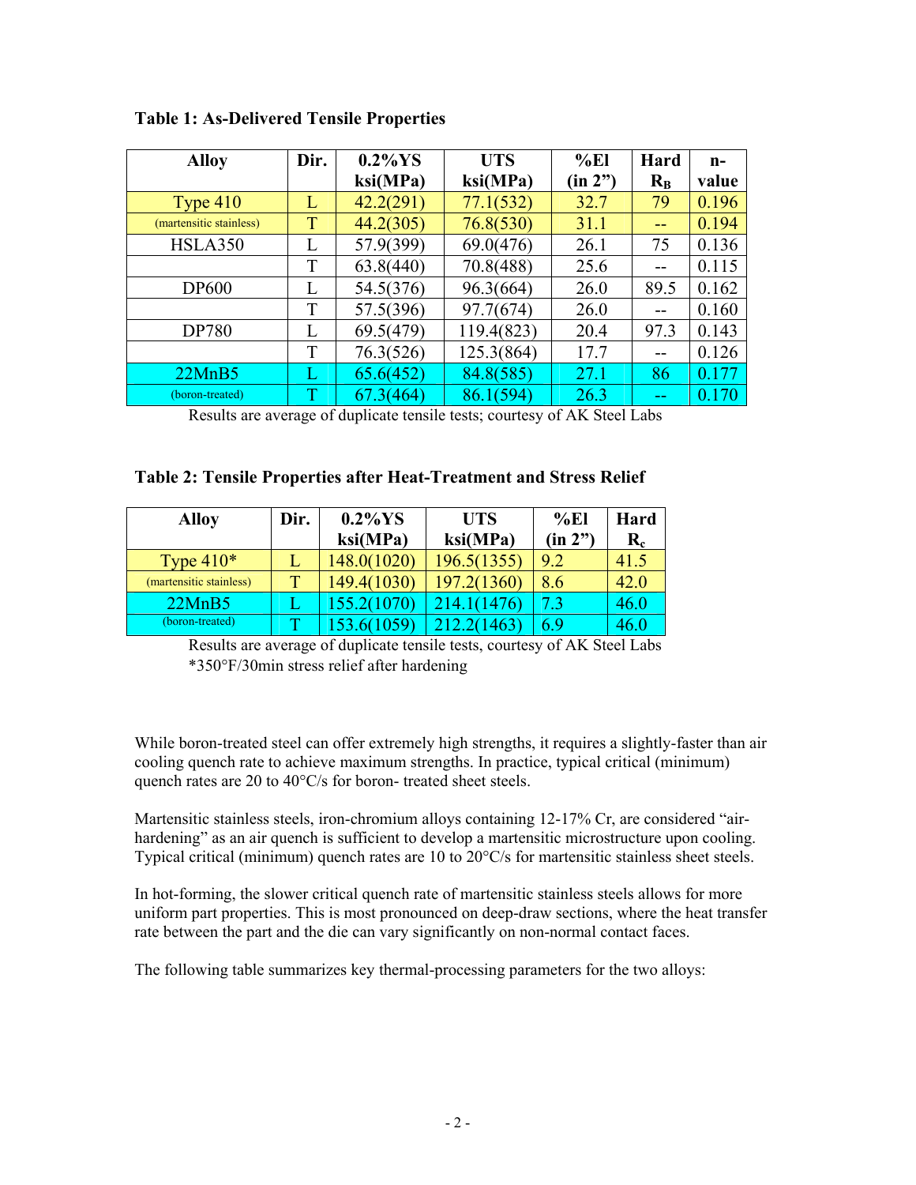| <b>Alloy</b>            | Dir. | $0.2\%$ YS | <b>UTS</b> | %E1     | Hard    | n-    |
|-------------------------|------|------------|------------|---------|---------|-------|
|                         |      | ksi(MPa)   | ksi(MPa)   | (in 2") | $R_{B}$ | value |
| Type $410$              | L    | 42.2(291)  | 77.1(532)  | 32.7    | 79      | 0.196 |
| (martensitic stainless) | T    | 44.2(305)  | 76.8(530)  | 31.1    |         | 0.194 |
| <b>HSLA350</b>          | L    | 57.9(399)  | 69.0(476)  | 26.1    | 75      | 0.136 |
|                         | T    | 63.8(440)  | 70.8(488)  | 25.6    | --      | 0.115 |
| <b>DP600</b>            | L    | 54.5(376)  | 96.3(664)  | 26.0    | 89.5    | 0.162 |
|                         | T    | 57.5(396)  | 97.7(674)  | 26.0    |         | 0.160 |
| DP780                   | L    | 69.5(479)  | 119.4(823) | 20.4    | 97.3    | 0.143 |
|                         | T    | 76.3(526)  | 125.3(864) | 17.7    | --      | 0.126 |
| 22MnB5                  | L    | 65.6(452)  | 84.8(585)  | 27.1    | 86      | 0.177 |
| (boron-treated)         | T    | 67.3(464)  | 86.1(594)  | 26.3    |         | 0.170 |

**Table 1: As-Delivered Tensile Properties** 

Results are average of duplicate tensile tests; courtesy of AK Steel Labs

## **Table 2: Tensile Properties after Heat-Treatment and Stress Relief**

| <b>Alloy</b>            | Dir. | $0.2\%$ YS  | <b>UTS</b>  | %E1     | Hard                 |
|-------------------------|------|-------------|-------------|---------|----------------------|
|                         |      | ksi(MPa)    | ksi(MPa)    | (in 2") | $\mathbf{R}_{\rm c}$ |
| Type $410*$             |      | 148.0(1020) | 196.5(1355) | 9.2     | 41.5                 |
| (martensitic stainless) |      | 149.4(1030) | 197.2(1360) | 8.6     | 42.0                 |
| 22MnB5                  |      | 155.2(1070) | 214.        |         | 46.0                 |
| (boron-treated)         |      |             |             | 69      | 46.0                 |

Results are average of duplicate tensile tests, courtesy of AK Steel Labs \*350°F/30min stress relief after hardening

While boron-treated steel can offer extremely high strengths, it requires a slightly-faster than air cooling quench rate to achieve maximum strengths. In practice, typical critical (minimum) quench rates are 20 to 40°C/s for boron- treated sheet steels.

Martensitic stainless steels, iron-chromium alloys containing 12-17% Cr, are considered "airhardening" as an air quench is sufficient to develop a martensitic microstructure upon cooling. Typical critical (minimum) quench rates are 10 to 20°C/s for martensitic stainless sheet steels.

In hot-forming, the slower critical quench rate of martensitic stainless steels allows for more uniform part properties. This is most pronounced on deep-draw sections, where the heat transfer rate between the part and the die can vary significantly on non-normal contact faces.

The following table summarizes key thermal-processing parameters for the two alloys: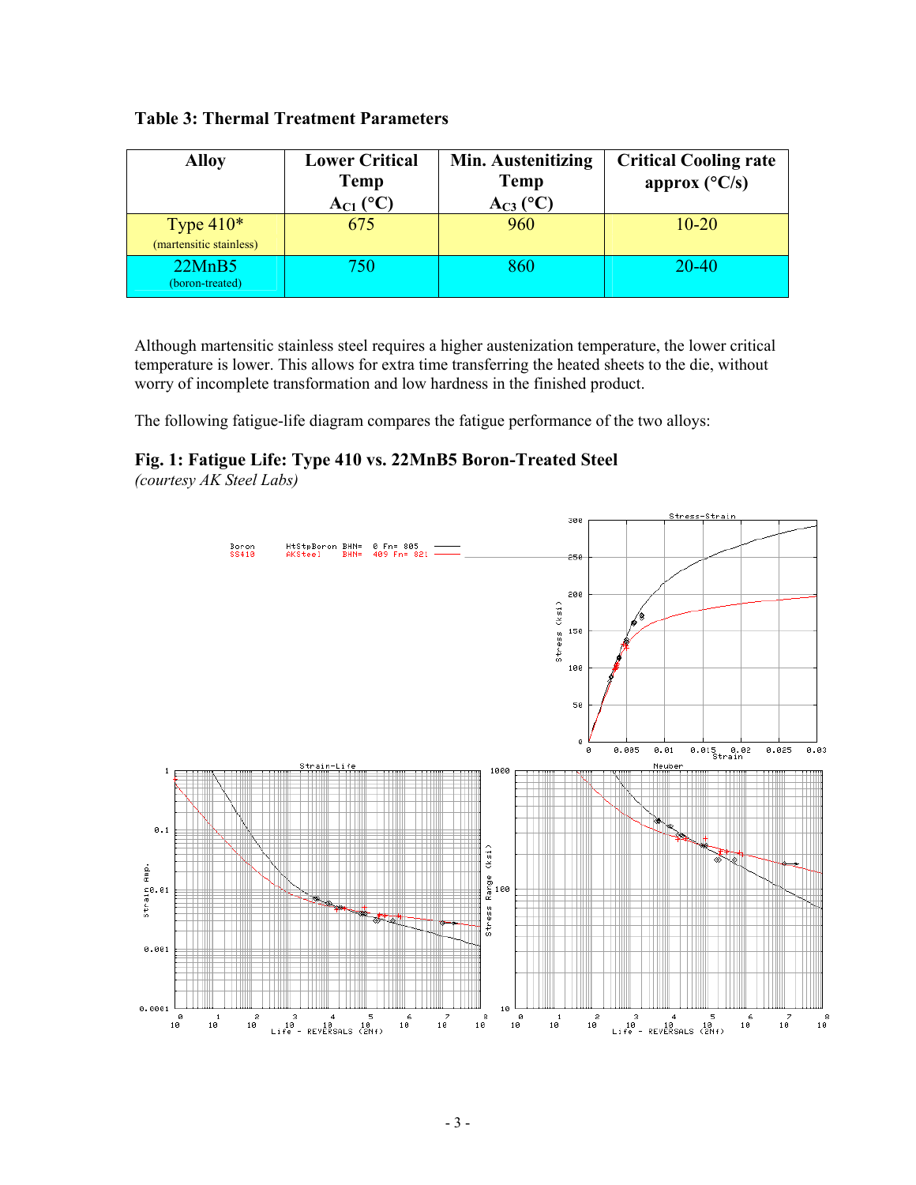| <b>Alloy</b>                           | <b>Lower Critical</b><br><b>Temp</b><br>$A_{C1}$ (°C) | <b>Min. Austenitizing</b><br><b>Temp</b><br>$A_{C3}$ (°C) | <b>Critical Cooling rate</b><br>approx $(^{\circ}C/s)$ |
|----------------------------------------|-------------------------------------------------------|-----------------------------------------------------------|--------------------------------------------------------|
| Type $410*$<br>(martensitic stainless) | 675                                                   | 960                                                       | $10 - 20$                                              |
| 22MnB5<br>(boron-treated)              | 750                                                   | 860                                                       | 20-40                                                  |

Although martensitic stainless steel requires a higher austenization temperature, the lower critical temperature is lower. This allows for extra time transferring the heated sheets to the die, without worry of incomplete transformation and low hardness in the finished product.

The following fatigue-life diagram compares the fatigue performance of the two alloys:

**Fig. 1: Fatigue Life: Type 410 vs. 22MnB5 Boron-Treated Steel** 

*(courtesy AK Steel Labs)*